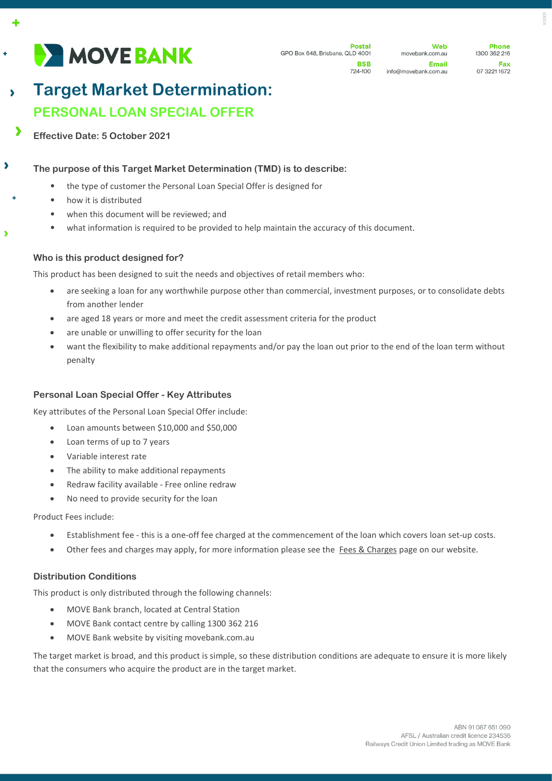

724-100

```
Web
    movebank.com.au
             Email
info@movebank.com.au
```
**Dhone** 1300 362 216 Fax 07 3221 1672

### **Target Market Determination:**   $\overline{\phantom{0}}$ **PERSONAL LOAN SPECIAL OFFER**

# **Effective Date: 5 October 2021**

 $\ddot{\bullet}$ 

D

 $\lambda$ 

Ń

## **The purpose of this Target Market Determination (TMD) is to describe:**

- the type of customer the Personal Loan Special Offer is designed for
- how it is distributed
- when this document will be reviewed; and
- what information is required to be provided to help maintain the accuracy of this document.

### **Who is this product designed for?**

This product has been designed to suit the needs and objectives of retail members who:

- are seeking a loan for any worthwhile purpose other than commercial, investment purposes, or to consolidate debts from another lender
- are aged 18 years or more and meet the credit assessment criteria for the product
- are unable or unwilling to offer security for the loan
- want the flexibility to make additional repayments and/or pay the loan out prior to the end of the loan term without penalty

## **Personal Loan Special Offer - Key Attributes**

Key attributes of the Personal Loan Special Offer include:

- Loan amounts between \$10,000 and \$50,000
- Loan terms of up to 7 years
- Variable interest rate
- The ability to make additional repayments
- Redraw facility available Free online redraw
- No need to provide security for the loan

Product Fees include:

- Establishment fee this is a one-off fee charged at the commencement of the loan which covers loan set-up costs.
- Other fees and charges may apply, for more information please see the [Fees & Charges](https://movebank.com.au/quick-links/fees-charges/) page on our website.

#### **Distribution Conditions**

This product is only distributed through the following channels:

- MOVE Bank branch, located at Central Station
- MOVE Bank contact centre by calling 1300 362 216
- MOVE Bank website by visiting movebank.com.au

The target market is broad, and this product is simple, so these distribution conditions are adequate to ensure it is more likely that the consumers who acquire the product are in the target market.